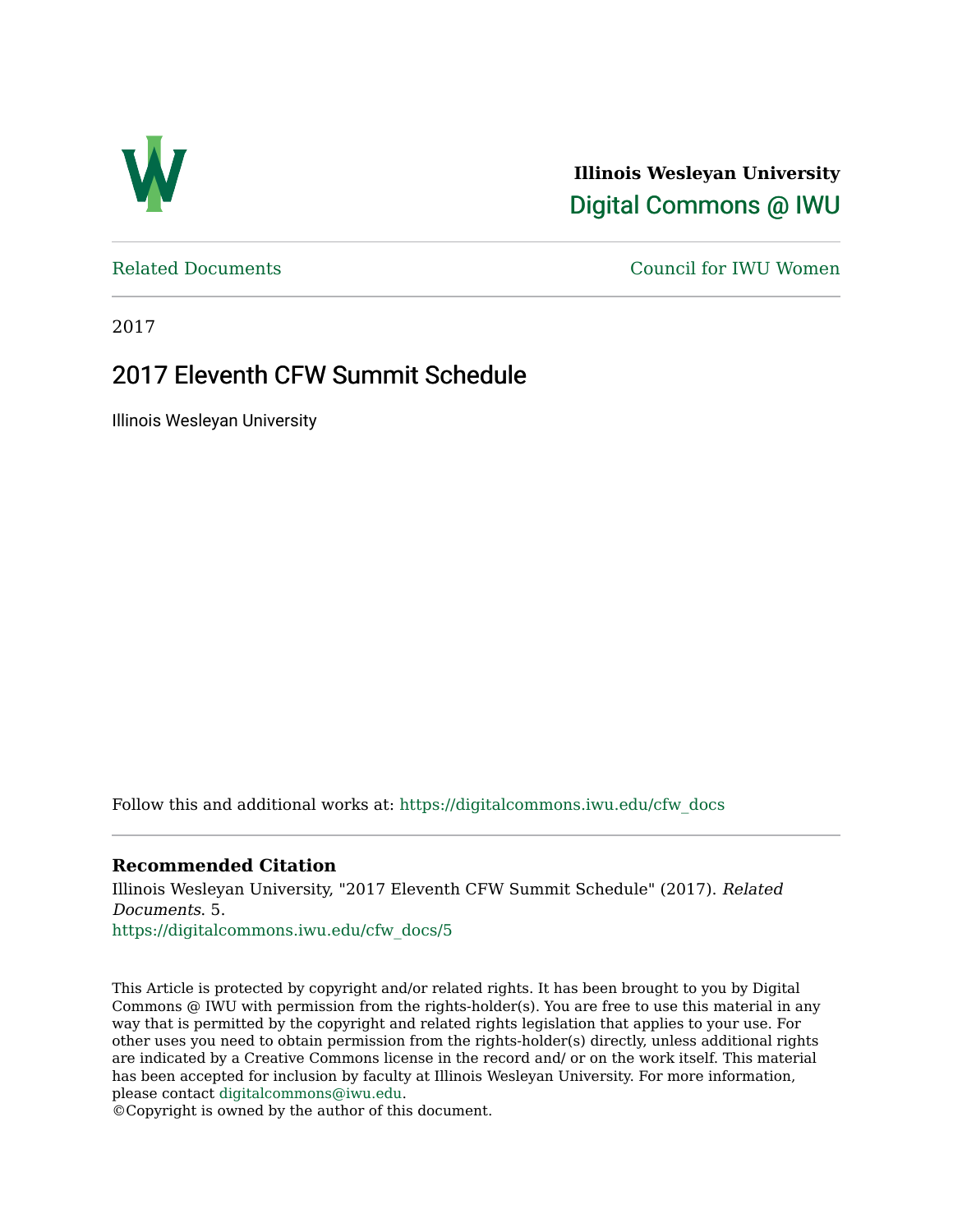

**Illinois Wesleyan University**  [Digital Commons @ IWU](https://digitalcommons.iwu.edu/) 

[Related Documents](https://digitalcommons.iwu.edu/cfw_docs) [Council for IWU Women](https://digitalcommons.iwu.edu/alumni_cfw) 

2017

### 2017 Eleventh CFW Summit Schedule

Illinois Wesleyan University

Follow this and additional works at: [https://digitalcommons.iwu.edu/cfw\\_docs](https://digitalcommons.iwu.edu/cfw_docs?utm_source=digitalcommons.iwu.edu%2Fcfw_docs%2F5&utm_medium=PDF&utm_campaign=PDFCoverPages) 

#### **Recommended Citation**

Illinois Wesleyan University, "2017 Eleventh CFW Summit Schedule" (2017). Related Documents. 5.

[https://digitalcommons.iwu.edu/cfw\\_docs/5](https://digitalcommons.iwu.edu/cfw_docs/5?utm_source=digitalcommons.iwu.edu%2Fcfw_docs%2F5&utm_medium=PDF&utm_campaign=PDFCoverPages) 

This Article is protected by copyright and/or related rights. It has been brought to you by Digital Commons @ IWU with permission from the rights-holder(s). You are free to use this material in any way that is permitted by the copyright and related rights legislation that applies to your use. For other uses you need to obtain permission from the rights-holder(s) directly, unless additional rights are indicated by a Creative Commons license in the record and/ or on the work itself. This material has been accepted for inclusion by faculty at Illinois Wesleyan University. For more information, please contact [digitalcommons@iwu.edu.](mailto:digitalcommons@iwu.edu)

©Copyright is owned by the author of this document.